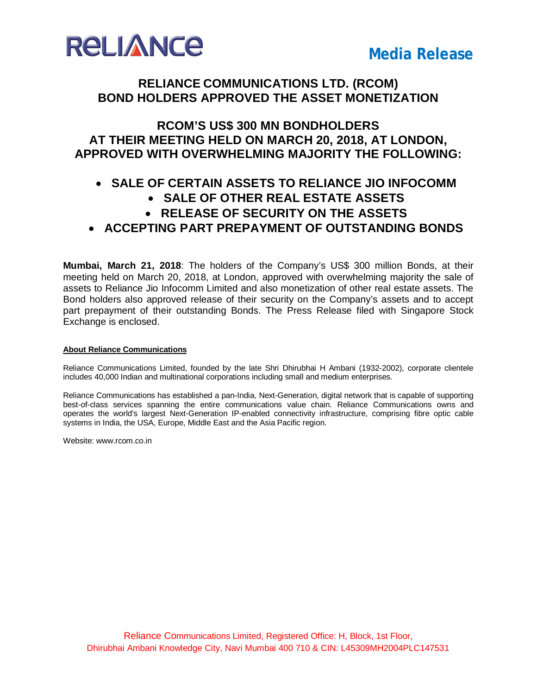

## **RELIANCE COMMUNICATIONS LTD. (RCOM) BOND HOLDERS APPROVED THE ASSET MONETIZATION**

## **RCOM'S US\$ 300 MN BONDHOLDERS AT THEIR MEETING HELD ON MARCH 20, 2018, AT LONDON, APPROVED WITH OVERWHELMING MAJORITY THE FOLLOWING:**

## **SALE OF CERTAIN ASSETS TO RELIANCE JIO INFOCOMM**

- **SALE OF OTHER REAL ESTATE ASSETS**
- **RELEASE OF SECURITY ON THE ASSETS**
- **ACCEPTING PART PREPAYMENT OF OUTSTANDING BONDS**

**Mumbai, March 21, 2018**: The holders of the Company's US\$ 300 million Bonds, at their meeting held on March 20, 2018, at London, approved with overwhelming majority the sale of assets to Reliance Jio Infocomm Limited and also monetization of other real estate assets. The Bond holders also approved release of their security on the Company's assets and to accept part prepayment of their outstanding Bonds. The Press Release filed with Singapore Stock Exchange is enclosed.

#### **About Reliance Communications**

Reliance Communications Limited, founded by the late Shri Dhirubhai H Ambani (1932-2002), corporate clientele includes 40,000 Indian and multinational corporations including small and medium enterprises.

Reliance Communications has established a pan-India, Next-Generation, digital network that is capable of supporting best-of-class services spanning the entire communications value chain. Reliance Communications owns and operates the world's largest Next-Generation IP-enabled connectivity infrastructure, comprising fibre optic cable systems in India, the USA, Europe, Middle East and the Asia Pacific region.

Website: www.rcom.co.in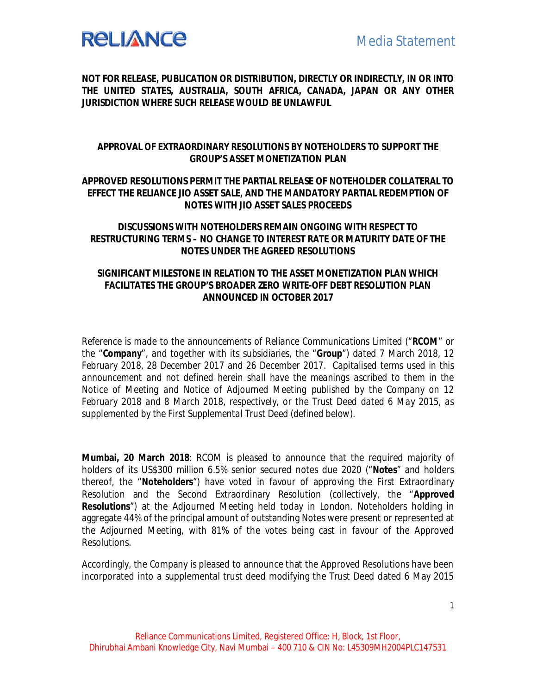

**NOT FOR RELEASE, PUBLICATION OR DISTRIBUTION, DIRECTLY OR INDIRECTLY, IN OR INTO THE UNITED STATES, AUSTRALIA, SOUTH AFRICA, CANADA, JAPAN OR ANY OTHER JURISDICTION WHERE SUCH RELEASE WOULD BE UNLAWFUL**

#### **APPROVAL OF EXTRAORDINARY RESOLUTIONS BY NOTEHOLDERS TO SUPPORT THE GROUP'S ASSET MONETIZATION PLAN**

### **APPROVED RESOLUTIONS PERMIT THE PARTIAL RELEASE OF NOTEHOLDER COLLATERAL TO EFFECT THE RELIANCE JIO ASSET SALE, AND THE MANDATORY PARTIAL REDEMPTION OF NOTES WITH JIO ASSET SALES PROCEEDS**

### **DISCUSSIONS WITH NOTEHOLDERS REMAIN ONGOING WITH RESPECT TO RESTRUCTURING TERMS – NO CHANGE TO INTEREST RATE OR MATURITY DATE OF THE NOTES UNDER THE AGREED RESOLUTIONS**

### **SIGNIFICANT MILESTONE IN RELATION TO THE ASSET MONETIZATION PLAN WHICH FACILITATES THE GROUP'S BROADER ZERO WRITE-OFF DEBT RESOLUTION PLAN ANNOUNCED IN OCTOBER 2017**

*Reference is made to the announcements of Reliance Communications Limited ("RCOM" or the "Company", and together with its subsidiaries, the "Group") dated 7 March 2018, 12 February 2018, 28 December 2017 and 26 December 2017. Capitalised terms used in this announcement and not defined herein shall have the meanings ascribed to them in the Notice of Meeting and Notice of Adjourned Meeting published by the Company on 12 February 2018 and 8 March 2018, respectively, or the Trust Deed dated 6 May 2015, as supplemented by the First Supplemental Trust Deed (defined below).*

**Mumbai, 20 March 2018**: RCOM is pleased to announce that the required majority of holders of its US\$300 million 6.5% senior secured notes due 2020 ("**Notes**" and holders thereof, the "**Noteholders**") have voted in favour of approving the First Extraordinary Resolution and the Second Extraordinary Resolution (collectively, the "**Approved Resolutions**") at the Adjourned Meeting held today in London. Noteholders holding in aggregate 44% of the principal amount of outstanding Notes were present or represented at the Adjourned Meeting, with 81% of the votes being cast in favour of the Approved Resolutions.

Accordingly, the Company is pleased to announce that the Approved Resolutions have been incorporated into a supplemental trust deed modifying the Trust Deed dated 6 May 2015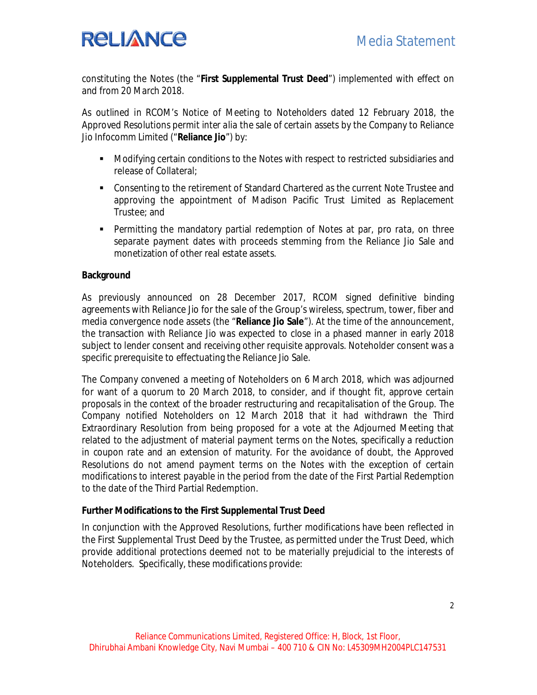# **RELIANCE**

constituting the Notes (the "**First Supplemental Trust Deed**") implemented with effect on and from 20 March 2018.

As outlined in RCOM's Notice of Meeting to Noteholders dated 12 February 2018, the Approved Resolutions permit *inter alia* the sale of certain assets by the Company to Reliance Jio Infocomm Limited ("**Reliance Jio**") by:

- Modifying certain conditions to the Notes with respect to restricted subsidiaries and release of Collateral;
- Consenting to the retirement of Standard Chartered as the current Note Trustee and approving the appointment of Madison Pacific Trust Limited as Replacement Trustee; and
- Permitting the mandatory partial redemption of Notes at par, *pro rata*, on three separate payment dates with proceeds stemming from the Reliance Jio Sale and monetization of other real estate assets.

### **Background**

As previously announced on 28 December 2017, RCOM signed definitive binding agreements with Reliance Jio for the sale of the Group's wireless, spectrum, tower, fiber and media convergence node assets (the "**Reliance Jio Sale**"). At the time of the announcement, the transaction with Reliance Jio was expected to close in a phased manner in early 2018 subject to lender consent and receiving other requisite approvals. Noteholder consent was a specific prerequisite to effectuating the Reliance Jio Sale.

The Company convened a meeting of Noteholders on 6 March 2018, which was adjourned for want of a quorum to 20 March 2018, to consider, and if thought fit, approve certain proposals in the context of the broader restructuring and recapitalisation of the Group. The Company notified Noteholders on 12 March 2018 that it had withdrawn the Third Extraordinary Resolution from being proposed for a vote at the Adjourned Meeting that related to the adjustment of material payment terms on the Notes, specifically a reduction in coupon rate and an extension of maturity. For the avoidance of doubt, the Approved Resolutions do not amend payment terms on the Notes with the exception of certain modifications to interest payable in the period from the date of the First Partial Redemption to the date of the Third Partial Redemption.

#### **Further Modifications to the First Supplemental Trust Deed**

In conjunction with the Approved Resolutions, further modifications have been reflected in the First Supplemental Trust Deed by the Trustee, as permitted under the Trust Deed, which provide additional protections deemed not to be materially prejudicial to the interests of Noteholders. Specifically, these modifications provide: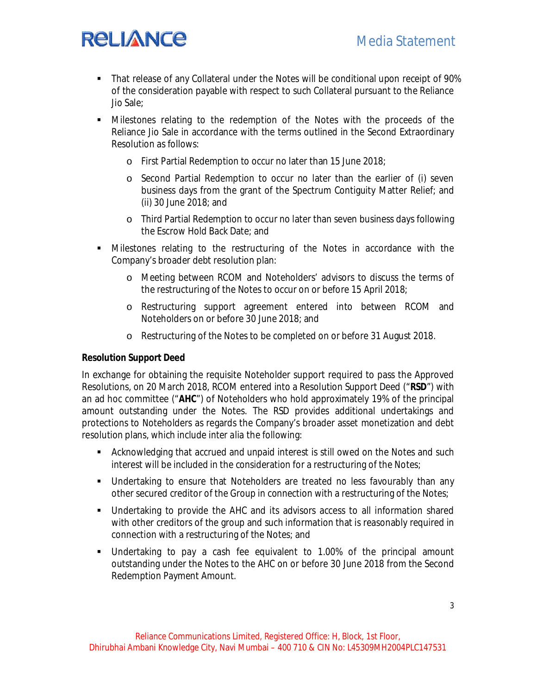## Media Statement

# **RELIANCE**

- That release of any Collateral under the Notes will be conditional upon receipt of 90% of the consideration payable with respect to such Collateral pursuant to the Reliance Jio Sale;
- Milestones relating to the redemption of the Notes with the proceeds of the Reliance Jio Sale in accordance with the terms outlined in the Second Extraordinary Resolution as follows:
	- o First Partial Redemption to occur no later than 15 June 2018;
	- o Second Partial Redemption to occur no later than the earlier of (i) seven business days from the grant of the Spectrum Contiguity Matter Relief; and (ii) 30 June 2018; and
	- o Third Partial Redemption to occur no later than seven business days following the Escrow Hold Back Date; and
- Milestones relating to the restructuring of the Notes in accordance with the Company's broader debt resolution plan:
	- o Meeting between RCOM and Noteholders' advisors to discuss the terms of the restructuring of the Notes to occur on or before 15 April 2018;
	- o Restructuring support agreement entered into between RCOM and Noteholders on or before 30 June 2018; and
	- o Restructuring of the Notes to be completed on or before 31 August 2018.

#### **Resolution Support Deed**

In exchange for obtaining the requisite Noteholder support required to pass the Approved Resolutions, on 20 March 2018, RCOM entered into a Resolution Support Deed ("**RSD**") with an ad hoc committee ("**AHC**") of Noteholders who hold approximately 19% of the principal amount outstanding under the Notes. The RSD provides additional undertakings and protections to Noteholders as regards the Company's broader asset monetization and debt resolution plans, which include *inter alia* the following:

- Acknowledging that accrued and unpaid interest is still owed on the Notes and such interest will be included in the consideration for a restructuring of the Notes;
- Undertaking to ensure that Noteholders are treated no less favourably than any other secured creditor of the Group in connection with a restructuring of the Notes;
- Undertaking to provide the AHC and its advisors access to all information shared with other creditors of the group and such information that is reasonably required in connection with a restructuring of the Notes; and
- Undertaking to pay a cash fee equivalent to 1.00% of the principal amount outstanding under the Notes to the AHC on or before 30 June 2018 from the Second Redemption Payment Amount.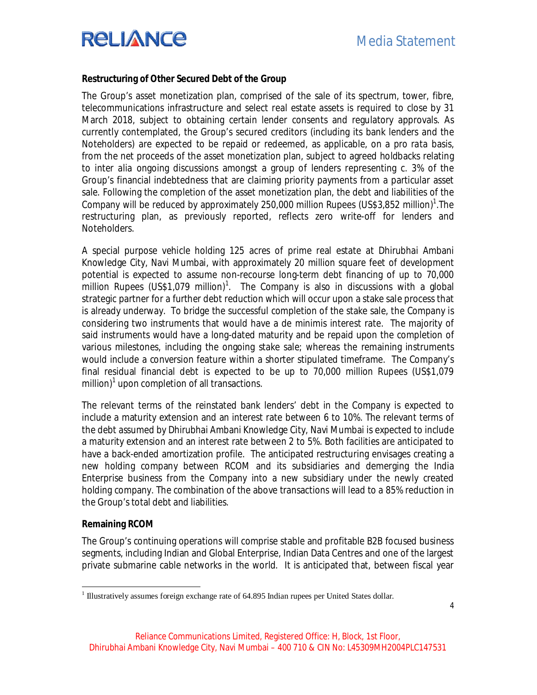# **RELIANCE**

#### **Restructuring of Other Secured Debt of the Group**

The Group's asset monetization plan, comprised of the sale of its spectrum, tower, fibre, telecommunications infrastructure and select real estate assets is required to close by 31 March 2018, subject to obtaining certain lender consents and regulatory approvals. As currently contemplated, the Group's secured creditors (including its bank lenders and the Noteholders) are expected to be repaid or redeemed, as applicable, on a *pro rata* basis, from the net proceeds of the asset monetization plan, subject to agreed holdbacks relating to *inter alia* ongoing discussions amongst a group of lenders representing c. 3% of the Group's financial indebtedness that are claiming priority payments from a particular asset sale. Following the completion of the asset monetization plan, the debt and liabilities of the Company will be reduced by approximately 250,000 million Rupees (US\$3,852 million)<sup>1</sup>. The restructuring plan, as previously reported, reflects zero write-off for lenders and Noteholders.

A special purpose vehicle holding 125 acres of prime real estate at Dhirubhai Ambani Knowledge City, Navi Mumbai, with approximately 20 million square feet of development potential is expected to assume non-recourse long-term debt financing of up to 70,000 million Rupees (US\$1,079 million)<sup>1</sup>. The Company is also in discussions with a global strategic partner for a further debt reduction which will occur upon a stake sale process that is already underway. To bridge the successful completion of the stake sale, the Company is considering two instruments that would have a de minimis interest rate. The majority of said instruments would have a long-dated maturity and be repaid upon the completion of various milestones, including the ongoing stake sale; whereas the remaining instruments would include a conversion feature within a shorter stipulated timeframe. The Company's final residual financial debt is expected to be up to 70,000 million Rupees (US\$1,079 million)<sup>1</sup> upon completion of all transactions.

The relevant terms of the reinstated bank lenders' debt in the Company is expected to include a maturity extension and an interest rate between 6 to 10%. The relevant terms of the debt assumed by Dhirubhai Ambani Knowledge City, Navi Mumbai is expected to include a maturity extension and an interest rate between 2 to 5%. Both facilities are anticipated to have a back-ended amortization profile. The anticipated restructuring envisages creating a new holding company between RCOM and its subsidiaries and demerging the India Enterprise business from the Company into a new subsidiary under the newly created holding company. The combination of the above transactions will lead to a 85% reduction in the Group's total debt and liabilities.

#### **Remaining RCOM**

The Group's continuing operations will comprise stable and profitable B2B focused business segments, including Indian and Global Enterprise, Indian Data Centres and one of the largest private submarine cable networks in the world. It is anticipated that, between fiscal year

 1 Illustratively assumes foreign exchange rate of 64.895 Indian rupees per United States dollar.